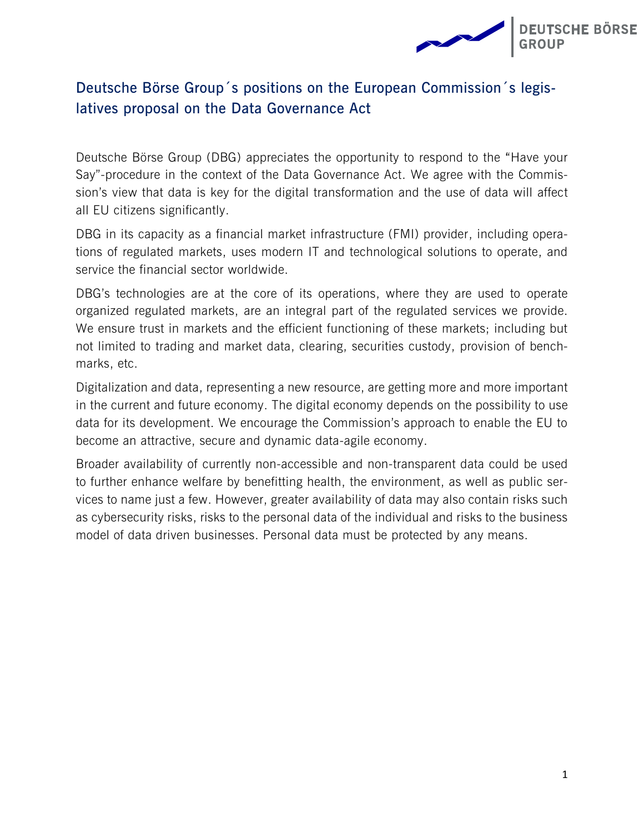

## **Deutsche Börse Group´s positions on the European Commission´s legislatives proposal on the Data Governance Act**

Deutsche Börse Group (DBG) appreciates the opportunity to respond to the "Have your Say"-procedure in the context of the Data Governance Act. We agree with the Commission's view that data is key for the digital transformation and the use of data will affect all EU citizens significantly.

DBG in its capacity as a financial market infrastructure (FMI) provider, including operations of regulated markets, uses modern IT and technological solutions to operate, and service the financial sector worldwide.

DBG's technologies are at the core of its operations, where they are used to operate organized regulated markets, are an integral part of the regulated services we provide. We ensure trust in markets and the efficient functioning of these markets; including but not limited to trading and market data, clearing, securities custody, provision of benchmarks, etc.

Digitalization and data, representing a new resource, are getting more and more important in the current and future economy. The digital economy depends on the possibility to use data for its development. We encourage the Commission's approach to enable the EU to become an attractive, secure and dynamic data-agile economy.

Broader availability of currently non-accessible and non-transparent data could be used to further enhance welfare by benefitting health, the environment, as well as public services to name just a few. However, greater availability of data may also contain risks such as cybersecurity risks, risks to the personal data of the individual and risks to the business model of data driven businesses. Personal data must be protected by any means.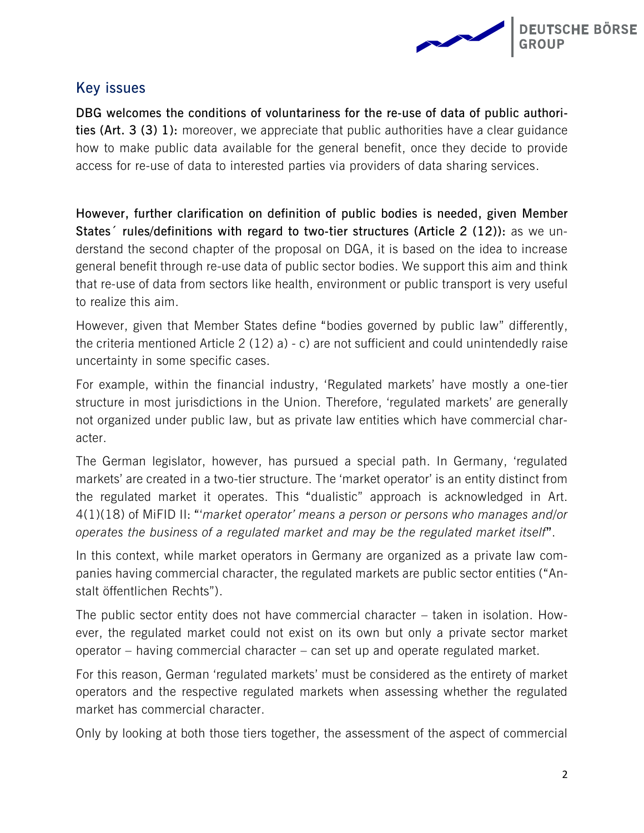

## **Key issues**

**DBG welcomes the conditions of voluntariness for the re-use of data of public authorities (Art. 3 (3) 1):** moreover, we appreciate that public authorities have a clear guidance how to make public data available for the general benefit, once they decide to provide access for re-use of data to interested parties via providers of data sharing services.

**However, further clarification on definition of public bodies is needed, given Member States´ rules/definitions with regard to two-tier structures (Article 2 (12)):** as we understand the second chapter of the proposal on DGA, it is based on the idea to increase general benefit through re-use data of public sector bodies. We support this aim and think that re-use of data from sectors like health, environment or public transport is very useful to realize this aim.

However, given that Member States define "bodies governed by public law" differently, the criteria mentioned Article 2 (12) a) - c) are not sufficient and could unintendedly raise uncertainty in some specific cases.

For example, within the financial industry, 'Regulated markets' have mostly a one-tier structure in most jurisdictions in the Union. Therefore, 'regulated markets' are generally not organized under public law, but as private law entities which have commercial character.

The German legislator, however, has pursued a special path. In Germany, 'regulated markets' are created in a two-tier structure. The 'market operator' is an entity distinct from the regulated market it operates. This "dualistic" approach is acknowledged in Art. 4(1)(18) of MiFID II: "'*market operator' means a person or persons who manages and/or operates the business of a regulated market and may be the regulated market itself***"**.

In this context, while market operators in Germany are organized as a private law companies having commercial character, the regulated markets are public sector entities ("Anstalt öffentlichen Rechts").

The public sector entity does not have commercial character – taken in isolation. However, the regulated market could not exist on its own but only a private sector market operator – having commercial character – can set up and operate regulated market.

For this reason, German 'regulated markets' must be considered as the entirety of market operators and the respective regulated markets when assessing whether the regulated market has commercial character.

Only by looking at both those tiers together, the assessment of the aspect of commercial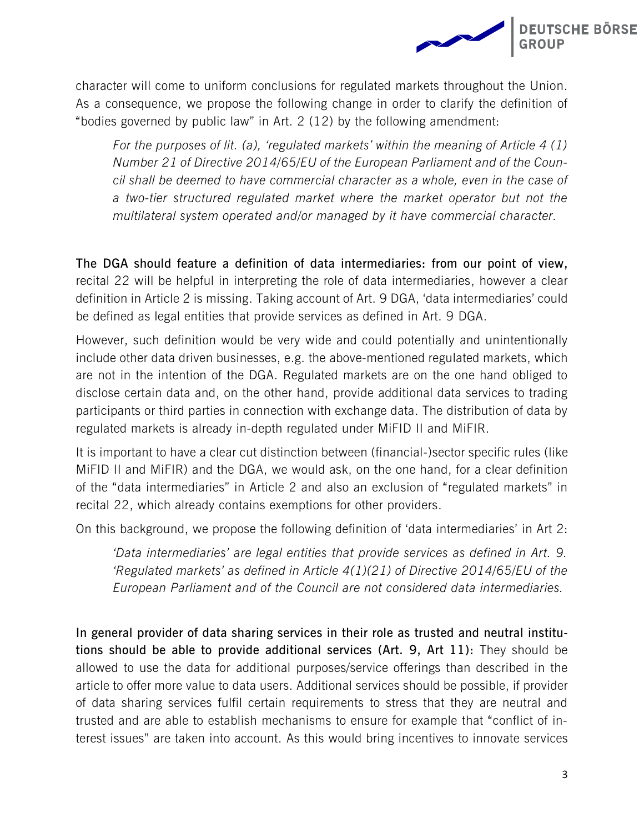

character will come to uniform conclusions for regulated markets throughout the Union. As a consequence, we propose the following change in order to clarify the definition of "bodies governed by public law" in Art. 2 (12) by the following amendment:

*For the purposes of lit. (a), 'regulated markets' within the meaning of Article 4 (1) Number 21 of Directive 2014/65/EU of the European Parliament and of the Council shall be deemed to have commercial character as a whole, even in the case of a two-tier structured regulated market where the market operator but not the multilateral system operated and/or managed by it have commercial character.*

**The DGA should feature a definition of data intermediaries: from our point of view,**  recital 22 will be helpful in interpreting the role of data intermediaries, however a clear definition in Article 2 is missing. Taking account of Art. 9 DGA, 'data intermediaries' could be defined as legal entities that provide services as defined in Art. 9 DGA.

However, such definition would be very wide and could potentially and unintentionally include other data driven businesses, e.g. the above-mentioned regulated markets, which are not in the intention of the DGA. Regulated markets are on the one hand obliged to disclose certain data and, on the other hand, provide additional data services to trading participants or third parties in connection with exchange data. The distribution of data by regulated markets is already in-depth regulated under MiFID II and MiFIR.

It is important to have a clear cut distinction between (financial-)sector specific rules (like MiFID II and MiFIR) and the DGA, we would ask, on the one hand, for a clear definition of the "data intermediaries" in Article 2 and also an exclusion of "regulated markets" in recital 22, which already contains exemptions for other providers.

On this background, we propose the following definition of 'data intermediaries' in Art 2:

*'Data intermediaries' are legal entities that provide services as defined in Art. 9. 'Regulated markets' as defined in Article 4(1)(21) of Directive 2014/65/EU of the European Parliament and of the Council are not considered data intermediaries.*

**In general provider of data sharing services in their role as trusted and neutral institutions should be able to provide additional services (Art. 9, Art 11):** They should be allowed to use the data for additional purposes/service offerings than described in the article to offer more value to data users. Additional services should be possible, if provider of data sharing services fulfil certain requirements to stress that they are neutral and trusted and are able to establish mechanisms to ensure for example that "conflict of interest issues" are taken into account. As this would bring incentives to innovate services